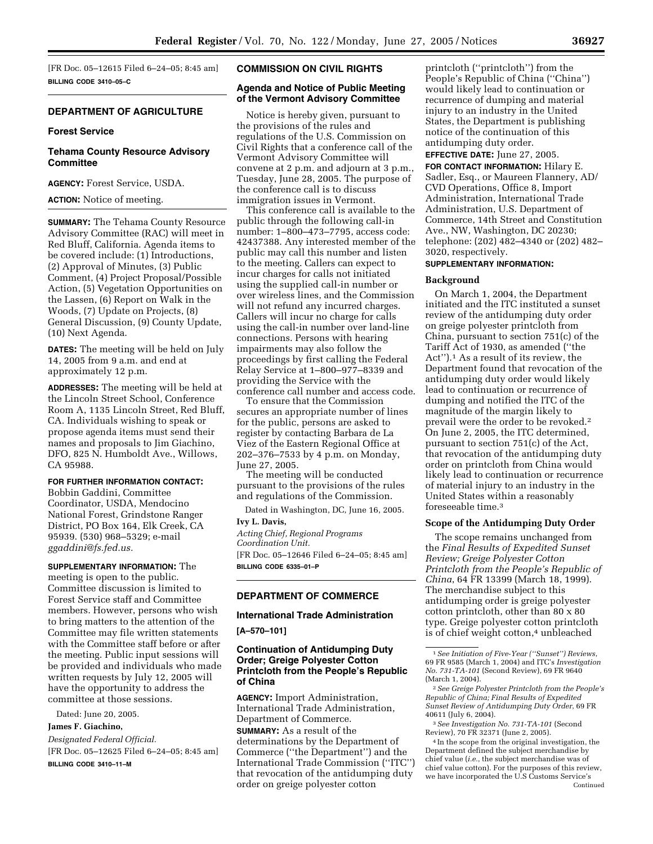[FR Doc. 05–12615 Filed 6–24–05; 8:45 am] **BILLING CODE 3410–05–C**

# **DEPARTMENT OF AGRICULTURE**

#### **Forest Service**

# **Tehama County Resource Advisory Committee**

**AGENCY:** Forest Service, USDA.

**ACTION:** Notice of meeting.

**SUMMARY:** The Tehama County Resource Advisory Committee (RAC) will meet in Red Bluff, California. Agenda items to be covered include: (1) Introductions, (2) Approval of Minutes, (3) Public Comment, (4) Project Proposal/Possible Action, (5) Vegetation Opportunities on the Lassen, (6) Report on Walk in the Woods, (7) Update on Projects, (8) General Discussion, (9) County Update, (10) Next Agenda.

**DATES:** The meeting will be held on July 14, 2005 from 9 a.m. and end at approximately 12 p.m.

**ADDRESSES:** The meeting will be held at the Lincoln Street School, Conference Room A, 1135 Lincoln Street, Red Bluff, CA. Individuals wishing to speak or propose agenda items must send their names and proposals to Jim Giachino, DFO, 825 N. Humboldt Ave., Willows, CA 95988.

## **FOR FURTHER INFORMATION CONTACT:**

Bobbin Gaddini, Committee Coordinator, USDA, Mendocino National Forest, Grindstone Ranger District, PO Box 164, Elk Creek, CA 95939. (530) 968–5329; e-mail *ggaddini@fs.fed.us.*

**SUPPLEMENTARY INFORMATION:** The meeting is open to the public. Committee discussion is limited to Forest Service staff and Committee members. However, persons who wish to bring matters to the attention of the Committee may file written statements with the Committee staff before or after the meeting. Public input sessions will be provided and individuals who made written requests by July 12, 2005 will have the opportunity to address the committee at those sessions.

Dated: June 20, 2005.

### **James F. Giachino,**

*Designated Federal Official.* [FR Doc. 05–12625 Filed 6–24–05; 8:45 am]

**BILLING CODE 3410–11–M**

### **COMMISSION ON CIVIL RIGHTS**

## **Agenda and Notice of Public Meeting of the Vermont Advisory Committee**

Notice is hereby given, pursuant to the provisions of the rules and regulations of the U.S. Commission on Civil Rights that a conference call of the Vermont Advisory Committee will convene at 2 p.m. and adjourn at 3 p.m., Tuesday, June 28, 2005. The purpose of the conference call is to discuss immigration issues in Vermont.

This conference call is available to the public through the following call-in number: 1–800–473–7795, access code: 42437388. Any interested member of the public may call this number and listen to the meeting. Callers can expect to incur charges for calls not initiated using the supplied call-in number or over wireless lines, and the Commission will not refund any incurred charges. Callers will incur no charge for calls using the call-in number over land-line connections. Persons with hearing impairments may also follow the proceedings by first calling the Federal Relay Service at 1–800–977–8339 and providing the Service with the conference call number and access code.

To ensure that the Commission secures an appropriate number of lines for the public, persons are asked to register by contacting Barbara de La Viez of the Eastern Regional Office at 202–376–7533 by 4 p.m. on Monday, June 27, 2005.

The meeting will be conducted pursuant to the provisions of the rules and regulations of the Commission.

Dated in Washington, DC, June 16, 2005.

**Ivy L. Davis,**  *Acting Chief, Regional Programs Coordination Unit.* [FR Doc. 05–12646 Filed 6–24–05; 8:45 am] **BILLING CODE 6335–01–P**

# **DEPARTMENT OF COMMERCE**

## **International Trade Administration**

**[A–570–101]**

## **Continuation of Antidumping Duty Order; Greige Polyester Cotton Printcloth from the People's Republic of China**

**AGENCY:** Import Administration, International Trade Administration, Department of Commerce. **SUMMARY:** As a result of the determinations by the Department of Commerce (''the Department'') and the International Trade Commission (''ITC'') that revocation of the antidumping duty order on greige polyester cotton

printcloth (''printcloth'') from the People's Republic of China (''China'') would likely lead to continuation or recurrence of dumping and material injury to an industry in the United States, the Department is publishing notice of the continuation of this antidumping duty order.

**EFFECTIVE DATE:** June 27, 2005.

**FOR CONTACT INFORMATION:** Hilary E. Sadler, Esq., or Maureen Flannery, AD/ CVD Operations, Office 8, Import Administration, International Trade Administration, U.S. Department of Commerce, 14th Street and Constitution Ave., NW, Washington, DC 20230; telephone: (202) 482–4340 or (202) 482– 3020, respectively.

### **SUPPLEMENTARY INFORMATION:**

## **Background**

On March 1, 2004, the Department initiated and the ITC instituted a sunset review of the antidumping duty order on greige polyester printcloth from China, pursuant to section 751(c) of the Tariff Act of 1930, as amended (''the Act'').1 As a result of its review, the Department found that revocation of the antidumping duty order would likely lead to continuation or recurrence of dumping and notified the ITC of the magnitude of the margin likely to prevail were the order to be revoked.2 On June 2, 2005, the ITC determined, pursuant to section 751(c) of the Act, that revocation of the antidumping duty order on printcloth from China would likely lead to continuation or recurrence of material injury to an industry in the United States within a reasonably foreseeable time.3

#### **Scope of the Antidumping Duty Order**

The scope remains unchanged from the *Final Results of Expedited Sunset Review; Greige Polyester Cotton Printcloth from the People's Republic of China*, 64 FR 13399 (March 18, 1999). The merchandise subject to this antidumping order is greige polyester cotton printcloth, other than 80 x 80 type. Greige polyester cotton printcloth is of chief weight cotton,<sup>4</sup> unbleached

2*See Greige Polyester Printcloth from the People's Republic of China; Final Results of Expedited Sunset Review of Antidumping Duty Order*, 69 FR 40611 (July 6, 2004).

3*See Investigation No. 731-TA-101* (Second Review), 70 FR 32371 (June 2, 2005).

4 In the scope from the original investigation, the Department defined the subject merchandise by chief value (*i.e.*, the subject merchandise was of chief value cotton). For the purposes of this review, we have incorporated the U.S Customs Service's Continued

<sup>1</sup>*See Initiation of Five-Year (''Sunset'') Reviews*, 69 FR 9585 (March 1, 2004) and ITC's *Investigation No. 731-TA-101* (Second Review), 69 FR 9640 (March 1, 2004).